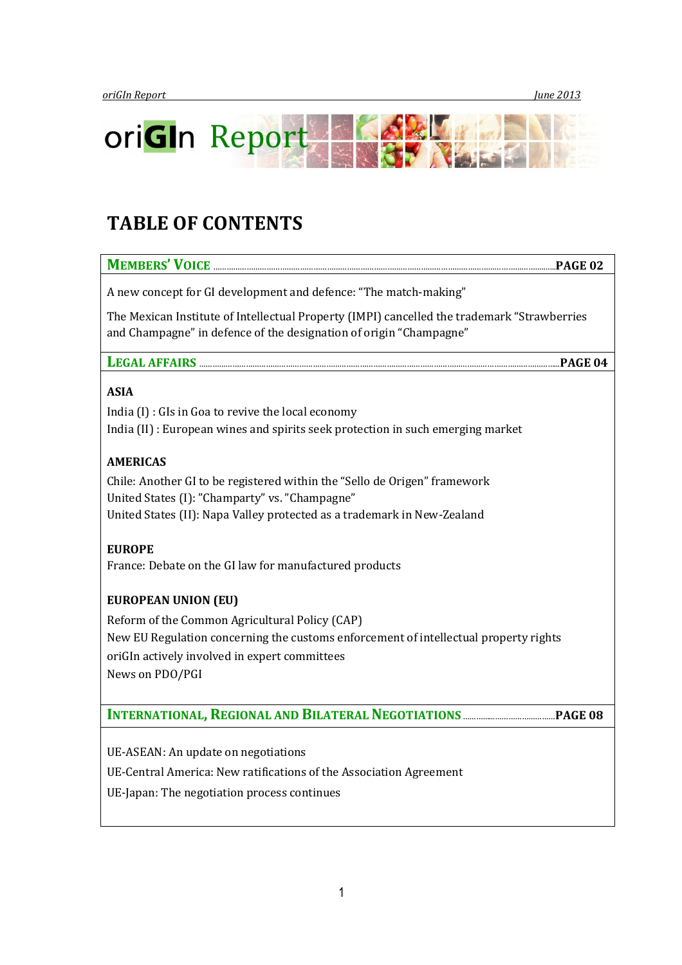

# TABLE OF CONTENTS

| A new concept for GI development and defence: "The match-making"                                                          |
|---------------------------------------------------------------------------------------------------------------------------|
| The Mexican Institute of Intellectual Property (IMPI) cancelled the trademark "Strawberries                               |
| and Champagne" in defence of the designation of origin "Champagne"                                                        |
|                                                                                                                           |
| LEGAL AFFAIRS                                                                                                             |
| <b>ASIA</b>                                                                                                               |
| India $(I)$ : GIs in Goa to revive the local economy                                                                      |
| India (II) : European wines and spirits seek protection in such emerging market                                           |
|                                                                                                                           |
| <b>AMERICAS</b>                                                                                                           |
| Chile: Another GI to be registered within the "Sello de Origen" framework                                                 |
| United States (I): "Champarty" vs. "Champagne"<br>United States (II): Napa Valley protected as a trademark in New-Zealand |
|                                                                                                                           |
| <b>EUROPE</b>                                                                                                             |
| France: Debate on the GI law for manufactured products                                                                    |
| <b>EUROPEAN UNION (EU)</b>                                                                                                |
| Reform of the Common Agricultural Policy (CAP)                                                                            |
| New EU Regulation concerning the customs enforcement of intellectual property rights                                      |
| oriGIn actively involved in expert committees                                                                             |
| News on PDO/PGI                                                                                                           |
|                                                                                                                           |
|                                                                                                                           |
|                                                                                                                           |
| UE-ASEAN: An update on negotiations                                                                                       |
| UE-Central America: New ratifications of the Association Agreement                                                        |
| UE-Japan: The negotiation process continues                                                                               |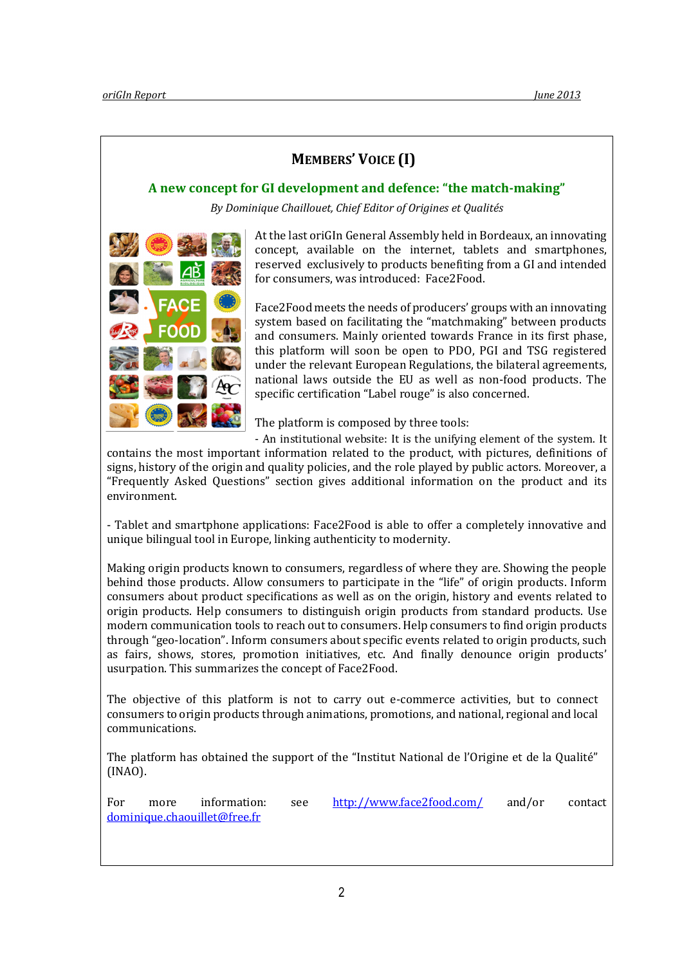# MEMBERS' VOICE (I)

## A new concept for GI development and defence: "the match-making"

By Dominique Chaillouet, Chief Editor of Origines et Qualités



At the last oriGIn General Assembly held in Bordeaux, an innovating concept, available on the internet, tablets and smartphones, reserved exclusively to products benefiting from a GI and intended for consumers, was introduced: Face2Food.

Face2Food meets the needs of producers' groups with an innovating system based on facilitating the "matchmaking" between products and consumers. Mainly oriented towards France in its first phase, this platform will soon be open to PDO, PGI and TSG registered under the relevant European Regulations, the bilateral agreements, national laws outside the EU as well as non-food products. The specific certification "Label rouge" is also concerned.

The platform is composed by three tools:

- An institutional website: It is the unifying element of the system. It

contains the most important information related to the product, with pictures, definitions of signs, history of the origin and quality policies, and the role played by public actors. Moreover, a "Frequently Asked Questions" section gives additional information on the product and its environment.

- Tablet and smartphone applications: Face2Food is able to offer a completely innovative and unique bilingual tool in Europe, linking authenticity to modernity.

Making origin products known to consumers, regardless of where they are. Showing the people behind those products. Allow consumers to participate in the "life" of origin products. Inform consumers about product specifications as well as on the origin, history and events related to origin products. Help consumers to distinguish origin products from standard products. Use modern communication tools to reach out to consumers. Help consumers to find origin products through "geo-location". Inform consumers about specific events related to origin products, such as fairs, shows, stores, promotion initiatives, etc. And finally denounce origin products' usurpation. This summarizes the concept of Face2Food.

The objective of this platform is not to carry out e-commerce activities, but to connect consumers to origin products through animations, promotions, and national, regional and local communications.

The platform has obtained the support of the "Institut National de l'Origine et de la Qualité" (INAO).

For more information: see http://www.face2food.com/ and/or contact dominique.chaouillet@free.fr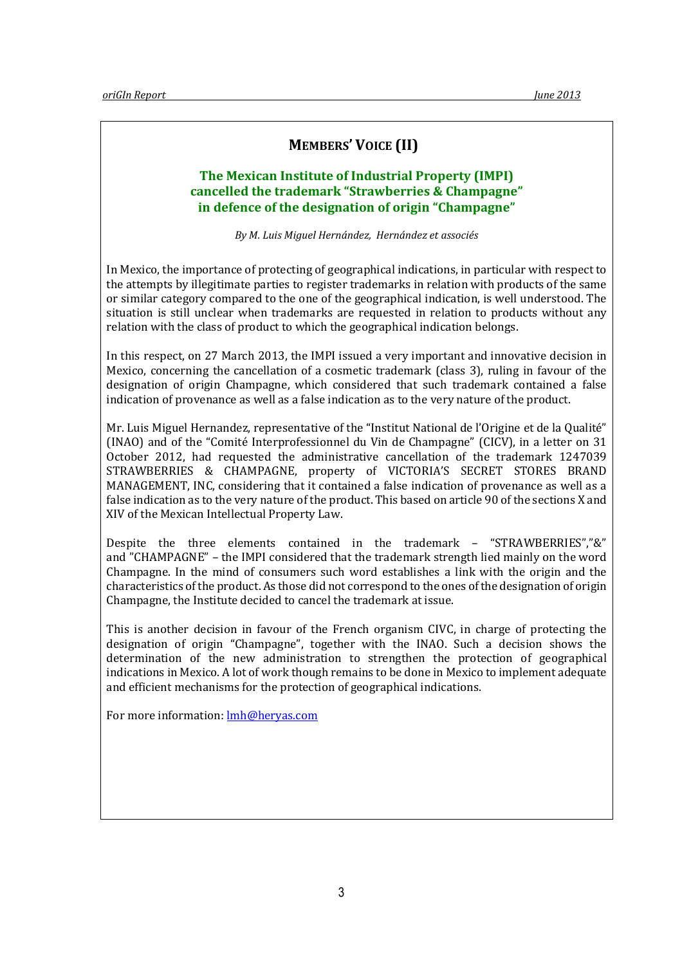# MEMBERS' VOICE (II)

# The Mexican Institute of Industrial Property (IMPI) cancelled the trademark "Strawberries & Champagne" in defence of the designation of origin "Champagne"

By M. Luis Miguel Hernández, Hernández et associés

In Mexico, the importance of protecting of geographical indications, in particular with respect to the attempts by illegitimate parties to register trademarks in relation with products of the same or similar category compared to the one of the geographical indication, is well understood. The situation is still unclear when trademarks are requested in relation to products without any relation with the class of product to which the geographical indication belongs.

In this respect, on 27 March 2013, the IMPI issued a very important and innovative decision in Mexico, concerning the cancellation of a cosmetic trademark (class 3), ruling in favour of the designation of origin Champagne, which considered that such trademark contained a false indication of provenance as well as a false indication as to the very nature of the product.

Mr. Luis Miguel Hernandez, representative of the "Institut National de l'Origine et de la Qualité" (INAO) and of the "Comité Interprofessionnel du Vin de Champagne" (CICV), in a letter on 31 October 2012, had requested the administrative cancellation of the trademark 1247039 STRAWBERRIES & CHAMPAGNE, property of VICTORIA'S SECRET STORES BRAND MANAGEMENT, INC, considering that it contained a false indication of provenance as well as a false indication as to the very nature of the product. This based on article 90 of the sections X and XIV of the Mexican Intellectual Property Law.

Despite the three elements contained in the trademark – "STRAWBERRIES","&" and "CHAMPAGNE" – the IMPI considered that the trademark strength lied mainly on the word Champagne. In the mind of consumers such word establishes a link with the origin and the characteristics of the product. As those did not correspond to the ones of the designation of origin Champagne, the Institute decided to cancel the trademark at issue.

This is another decision in favour of the French organism CIVC, in charge of protecting the designation of origin "Champagne", together with the INAO. Such a decision shows the determination of the new administration to strengthen the protection of geographical indications in Mexico. A lot of work though remains to be done in Mexico to implement adequate and efficient mechanisms for the protection of geographical indications.

For more information: lmh@heryas.com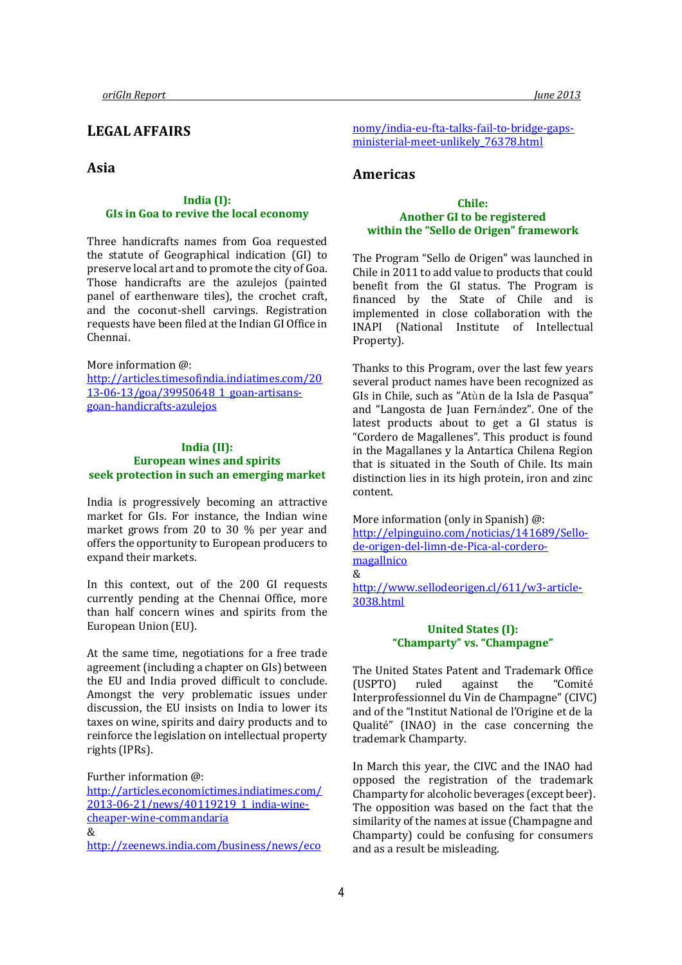# LEGAL AFFAIRS

## Asia

#### India (I): GIs in Goa to revive the local economy

Three handicrafts names from Goa requested the statute of Geographical indication (GI) to preserve local art and to promote the city of Goa. Those handicrafts are the azulejos (painted panel of earthenware tiles), the crochet craft, and the coconut-shell carvings. Registration requests have been filed at the Indian GI Office in Chennai.

#### More information @

http://articles.timesofindia.indiatimes.com/20 13-06-13/goa/39950648\_1\_goan-artisansgoan-handicrafts-azulejos

#### India (II): European wines and spirits seek protection in such an emerging market

India is progressively becoming an attractive market for GIs. For instance, the Indian wine market grows from 20 to 30 % per year and offers the opportunity to European producers to expand their markets.

In this context, out of the 200 GI requests currently pending at the Chennai Office, more than half concern wines and spirits from the European Union (EU).

At the same time, negotiations for a free trade agreement (including a chapter on GIs) between the EU and India proved difficult to conclude. Amongst the very problematic issues under discussion, the EU insists on India to lower its taxes on wine, spirits and dairy products and to reinforce the legislation on intellectual property rights (IPRs).

Further information @:

http://articles.economictimes.indiatimes.com/ 2013-06-21/news/40119219\_1\_india-winecheaper-wine-commandaria & http://zeenews.india.com/business/news/eco

nomy/india-eu-fta-talks-fail-to-bridge-gapsministerial-meet-unlikely\_76378.html

## Americas

#### Chile: Another GI to be registered within the "Sello de Origen" framework

The Program "Sello de Origen" was launched in Chile in 2011 to add value to products that could benefit from the GI status. The Program is financed by the State of Chile and is implemented in close collaboration with the INAPI (National Institute of Intellectual Property).

Thanks to this Program, over the last few years several product names have been recognized as GIs in Chile, such as "Atùn de la Isla de Pasqua" and "Langosta de Juan Fernández". One of the latest products about to get a GI status is "Cordero de Magallenes". This product is found in the Magallanes y la Antartica Chilena Region that is situated in the South of Chile. Its main distinction lies in its high protein, iron and zinc content.

More information (only in Spanish) @: http://elpinguino.com/noticias/141689/Sellode-origen-del-limn-de-Pica-al-corderomagallnico &

http://www.sellodeorigen.cl/611/w3-article-3038.html

#### United States (I): "Champarty" vs. "Champagne"

The United States Patent and Trademark Office (USPTO) ruled against the "Comité Interprofessionnel du Vin de Champagne" (CIVC) and of the "Institut National de l'Origine et de la Qualité" (INAO) in the case concerning the trademark Champarty.

In March this year, the CIVC and the INAO had opposed the registration of the trademark Champarty for alcoholic beverages (except beer). The opposition was based on the fact that the similarity of the names at issue (Champagne and Champarty) could be confusing for consumers and as a result be misleading.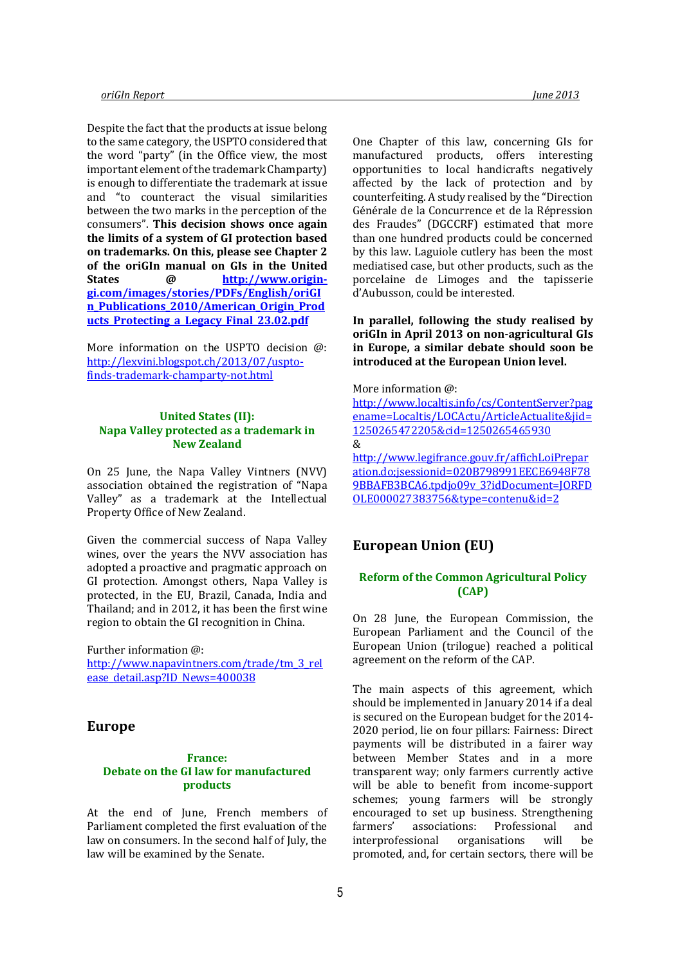Despite the fact that the products at issue belong to the same category, the USPTO considered that the word "party" (in the Office view, the most important element of the trademark Champarty) is enough to differentiate the trademark at issue and "to counteract the visual similarities between the two marks in the perception of the consumers". This decision shows once again the limits of a system of GI protection based on trademarks. On this, please see Chapter 2 of the oriGIn manual on GIs in the United States @ http://www.origingi.com/images/stories/PDFs/English/oriGI n\_Publications\_2010/American\_Origin\_Prod ucts Protecting a Legacy Final 23.02.pdf

More information on the USPTO decision @: http://lexvini.blogspot.ch/2013/07/usptofinds-trademark-champarty-not.html

#### United States (II): Napa Valley protected as a trademark in New Zealand

On 25 June, the Napa Valley Vintners (NVV) association obtained the registration of "Napa Valley" as a trademark at the Intellectual Property Office of New Zealand.

Given the commercial success of Napa Valley wines, over the years the NVV association has adopted a proactive and pragmatic approach on GI protection. Amongst others, Napa Valley is protected, in the EU, Brazil, Canada, India and Thailand; and in 2012, it has been the first wine region to obtain the GI recognition in China.

Further information @: http://www.napavintners.com/trade/tm\_3\_rel ease\_detail.asp?ID\_News=400038

#### Europe

#### France: Debate on the GI law for manufactured products

At the end of June, French members of Parliament completed the first evaluation of the law on consumers. In the second half of July, the law will be examined by the Senate.

One Chapter of this law, concerning GIs for manufactured products, offers interesting opportunities to local handicrafts negatively affected by the lack of protection and by counterfeiting. A study realised by the "Direction Générale de la Concurrence et de la Répression des Fraudes" (DGCCRF) estimated that more than one hundred products could be concerned by this law. Laguiole cutlery has been the most mediatised case, but other products, such as the porcelaine de Limoges and the tapisserie d'Aubusson, could be interested.

In parallel, following the study realised by oriGIn in April 2013 on non-agricultural GIs in Europe, a similar debate should soon be introduced at the European Union level.

#### More information @:

http://www.localtis.info/cs/ContentServer?pag ename=Localtis/LOCActu/ArticleActualite&jid= 1250265472205&cid=1250265465930 & http://www.legifrance.gouv.fr/affichLoiPrepar ation.do;jsessionid=020B798991EECE6948F78 9BBAFB3BCA6.tpdjo09v\_3?idDocument=JORFD OLE000027383756&type=contenu&id=2

## European Union (EU)

#### Reform of the Common Agricultural Policy (CAP)

On 28 June, the European Commission, the European Parliament and the Council of the European Union (trilogue) reached a political agreement on the reform of the CAP.

The main aspects of this agreement, which should be implemented in January 2014 if a deal is secured on the European budget for the 2014- 2020 period, lie on four pillars: Fairness: Direct payments will be distributed in a fairer way between Member States and in a more transparent way; only farmers currently active will be able to benefit from income-support schemes; young farmers will be strongly encouraged to set up business. Strengthening farmers' associations: Professional and interprofessional organisations will be promoted, and, for certain sectors, there will be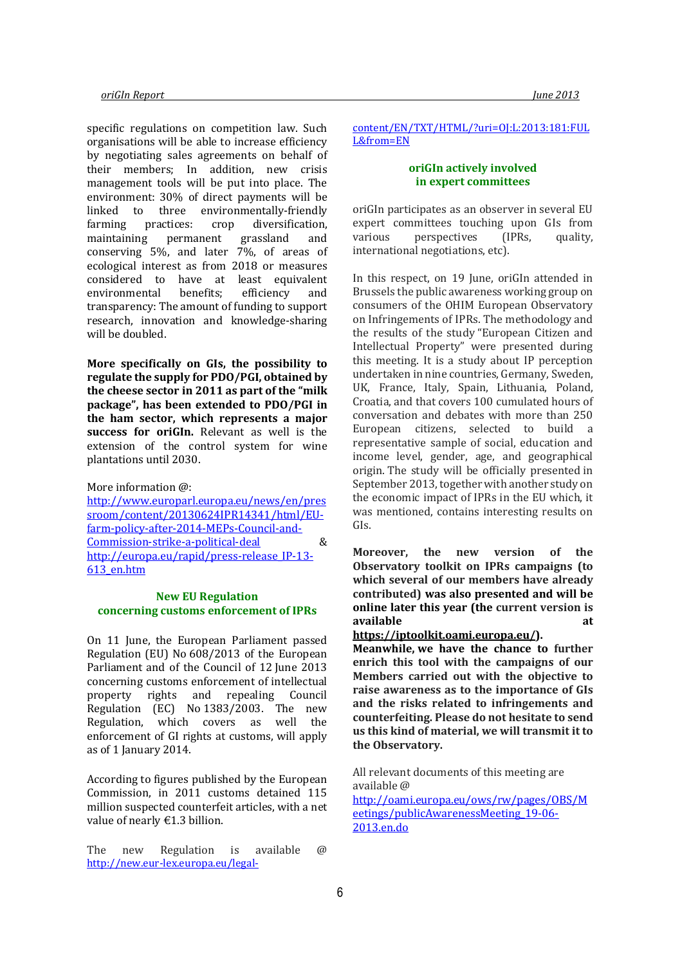specific regulations on competition law. Such organisations will be able to increase efficiency by negotiating sales agreements on behalf of their members; In addition, new crisis management tools will be put into place. The environment: 30% of direct payments will be linked to three environmentally-friendly farming practices: crop diversification, maintaining permanent grassland and conserving 5%, and later 7%, of areas of ecological interest as from 2018 or measures considered to have at least equivalent environmental benefits; efficiency and transparency: The amount of funding to support research, innovation and knowledge-sharing will be doubled.

More specifically on GIs, the possibility to regulate the supply for PDO/PGI, obtained by the cheese sector in 2011 as part of the "milk package", has been extended to PDO/PGI in the ham sector, which represents a major success for oriGIn. Relevant as well is the extension of the control system for wine plantations until 2030.

More information @:

http://www.europarl.europa.eu/news/en/pres sroom/content/20130624IPR14341/html/EUfarm-policy-after-2014-MEPs-Council-and-Commission-strike-a-political-deal & http://europa.eu/rapid/press-release\_IP-13- 613\_en.htm

#### New EU Regulation concerning customs enforcement of IPRs

On 11 June, the European Parliament passed Regulation (EU) No 608/2013 of the European Parliament and of the Council of 12 June 2013 concerning customs enforcement of intellectual property rights and repealing Council Regulation (EC) No 1383/2003. The new Regulation, which covers as well the enforcement of GI rights at customs, will apply as of 1 January 2014.

According to figures published by the European Commission, in 2011 customs detained 115 million suspected counterfeit articles, with a net value of nearly €1.3 billion.

The new Regulation is available @ http://new.eur-lex.europa.eu/legal-

#### content/EN/TXT/HTML/?uri=OJ:L:2013:181:FUL L&from=EN

#### oriGIn actively involved in expert committees

oriGIn participates as an observer in several EU expert committees touching upon GIs from various perspectives (IPRs, quality, international negotiations, etc).

In this respect, on 19 June, oriGIn attended in Brussels the public awareness working group on consumers of the OHIM European Observatory on Infringements of IPRs. The methodology and the results of the study "European Citizen and Intellectual Property" were presented during this meeting. It is a study about IP perception undertaken in nine countries, Germany, Sweden, UK, France, Italy, Spain, Lithuania, Poland, Croatia, and that covers 100 cumulated hours of conversation and debates with more than 250 European citizens, selected to build a representative sample of social, education and income level, gender, age, and geographical origin. The study will be officially presented in September 2013, together with another study on the economic impact of IPRs in the EU which, it was mentioned, contains interesting results on GIs.

Moreover, the new version of the Observatory toolkit on IPRs campaigns (to which several of our members have already contributed) was also presented and will be online later this year (the current version is available at a state at a state at a state at a state at a state at a state at a state at a state at a state a

```
https://iptoolkit.oami.europa.eu/).
```
Meanwhile, we have the chance to further enrich this tool with the campaigns of our Members carried out with the objective to raise awareness as to the importance of GIs and the risks related to infringements and counterfeiting. Please do not hesitate to send us this kind of material, we will transmit it to the Observatory.

All relevant documents of this meeting are available @ http://oami.europa.eu/ows/rw/pages/OBS/M eetings/publicAwarenessMeeting\_19-06- 2013.en.do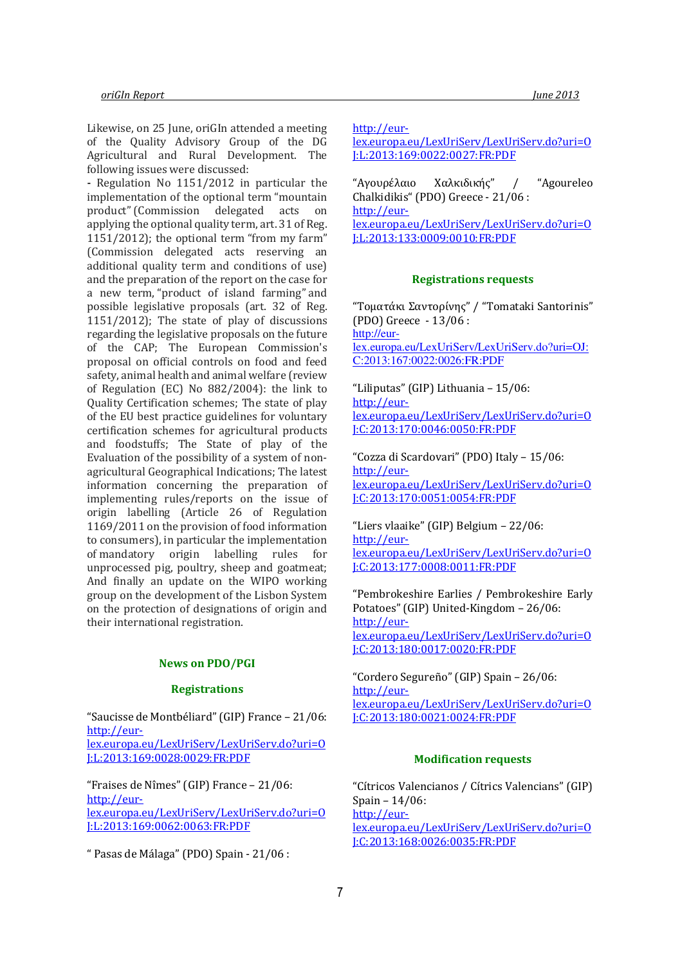Likewise, on 25 June, oriGIn attended a meeting of the Quality Advisory Group of the DG Agricultural and Rural Development. The following issues were discussed:

- Regulation No 1151/2012 in particular the implementation of the optional term "mountain product" (Commission delegated acts on applying the optional quality term, art. 31 of Reg. 1151/2012); the optional term "from my farm" (Commission delegated acts reserving an additional quality term and conditions of use) and the preparation of the report on the case for a new term, "product of island farming" and possible legislative proposals (art. 32 of Reg. 1151/2012); The state of play of discussions regarding the legislative proposals on the future of the CAP; The European Commission's proposal on official controls on food and feed safety, animal health and animal welfare (review of Regulation (EC) No 882/2004): the link to Quality Certification schemes; The state of play of the EU best practice guidelines for voluntary certification schemes for agricultural products and foodstuffs; The State of play of the Evaluation of the possibility of a system of nonagricultural Geographical Indications; The latest information concerning the preparation of implementing rules/reports on the issue of origin labelling (Article 26 of Regulation 1169/2011 on the provision of food information to consumers), in particular the implementation of mandatory origin labelling rules for unprocessed pig, poultry, sheep and goatmeat; And finally an update on the WIPO working group on the development of the Lisbon System on the protection of designations of origin and their international registration.

#### News on PDO/PGI

#### **Registrations**

"Saucisse de Montbéliard" (GIP) France – 21/06: http://eurlex.europa.eu/LexUriServ/LexUriServ.do?uri=O

J:L:2013:169:0028:0029:FR:PDF

"Fraises de Nîmes" (GIP) France – 21/06: http://eurlex.europa.eu/LexUriServ/LexUriServ.do?uri=O J:L:2013:169:0062:0063:FR:PDF

" Pasas de Málaga" (PDO) Spain - 21/06 :

http://eur-

lex.europa.eu/LexUriServ/LexUriServ.do?uri=O J:L:2013:169:0022:0027:FR:PDF

"Αγουρέλαιο Χαλκιδικής" / "Agoureleo Chalkidikis" (PDO) Greece - 21/06 : http://eurlex.europa.eu/LexUriServ/LexUriServ.do?uri=O J:L:2013:133:0009:0010:FR:PDF

#### Registrations requests

"Τοματάκι Σαντορίνης" / "Tomataki Santorinis" (PDO) Greece - 13/06 : http://eurlex.europa.eu/LexUriServ/LexUriServ.do?uri=OJ: C:2013:167:0022:0026:FR:PDF

"Liliputas" (GIP) Lithuania – 15/06: http://eurlex.europa.eu/LexUriServ/LexUriServ.do?uri=O J:C:2013:170:0046:0050:FR:PDF

"Cozza di Scardovari" (PDO) Italy – 15/06: http://eurlex.europa.eu/LexUriServ/LexUriServ.do?uri=O J:C:2013:170:0051:0054:FR:PDF

"Liers vlaaike" (GIP) Belgium – 22/06: http://eurlex.europa.eu/LexUriServ/LexUriServ.do?uri=O J:C:2013:177:0008:0011:FR:PDF

"Pembrokeshire Earlies / Pembrokeshire Early Potatoes" (GIP) United-Kingdom – 26/06: http://eurlex.europa.eu/LexUriServ/LexUriServ.do?uri=O J:C:2013:180:0017:0020:FR:PDF

"Cordero Segureño" (GIP) Spain – 26/06: http://eurlex.europa.eu/LexUriServ/LexUriServ.do?uri=O J:C:2013:180:0021:0024:FR:PDF

#### Modification requests

"Cítricos Valencianos / Cítrics Valencians" (GIP) Spain – 14/06: http://eurlex.europa.eu/LexUriServ/LexUriServ.do?uri=O J:C:2013:168:0026:0035:FR:PDF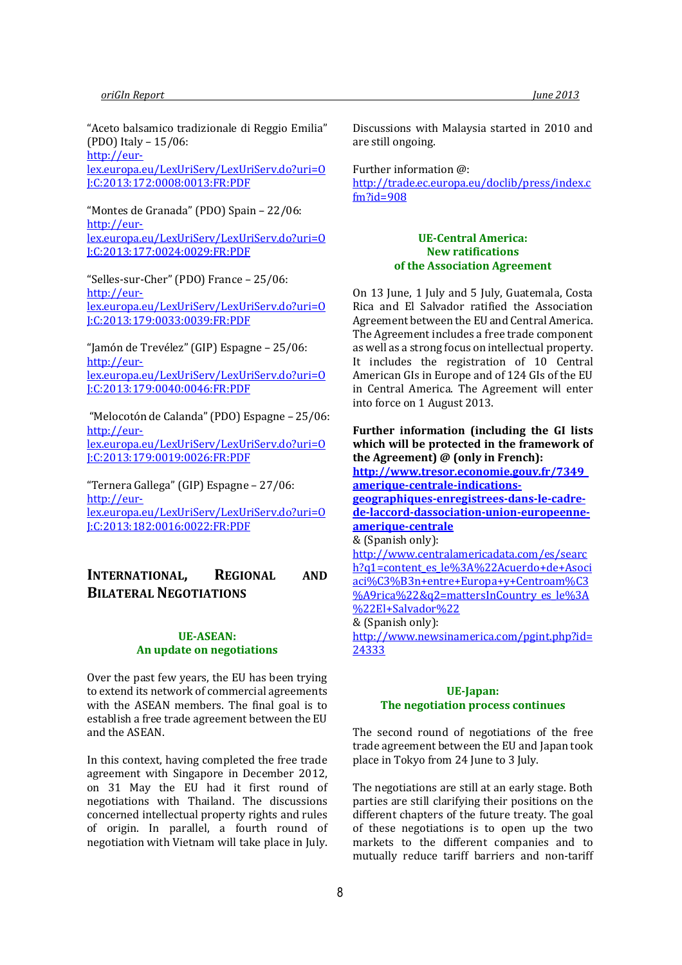"Aceto balsamico tradizionale di Reggio Emilia" (PDO) Italy – 15/06: http://eur-

lex.europa.eu/LexUriServ/LexUriServ.do?uri=O J:C:2013:172:0008:0013:FR:PDF

"Montes de Granada" (PDO) Spain – 22/06: http://eurlex.europa.eu/LexUriServ/LexUriServ.do?uri=O J:C:2013:177:0024:0029:FR:PDF

"Selles-sur-Cher" (PDO) France – 25/06: http://eurlex.europa.eu/LexUriServ/LexUriServ.do?uri=O J:C:2013:179:0033:0039:FR:PDF

"Jamón de Trevélez" (GIP) Espagne – 25/06: http://eurlex.europa.eu/LexUriServ/LexUriServ.do?uri=O J:C:2013:179:0040:0046:FR:PDF

 "Melocotón de Calanda" (PDO) Espagne – 25/06: http://eurlex.europa.eu/LexUriServ/LexUriServ.do?uri=O J:C:2013:179:0019:0026:FR:PDF

"Ternera Gallega" (GIP) Espagne – 27/06: http://eurlex.europa.eu/LexUriServ/LexUriServ.do?uri=O J:C:2013:182:0016:0022:FR:PDF

# INTERNATIONAL, REGIONAL AND BILATERAL NEGOTIATIONS

## UE-ASEAN: An update on negotiations

Over the past few years, the EU has been trying to extend its network of commercial agreements with the ASEAN members. The final goal is to establish a free trade agreement between the EU and the ASEAN.

In this context, having completed the free trade agreement with Singapore in December 2012, on 31 May the EU had it first round of negotiations with Thailand. The discussions concerned intellectual property rights and rules of origin. In parallel, a fourth round of negotiation with Vietnam will take place in July.

Discussions with Malaysia started in 2010 and are still ongoing.

Further information @:

http://trade.ec.europa.eu/doclib/press/index.c fm?id=908

#### UE-Central America: New ratifications of the Association Agreement

On 13 June, 1 July and 5 July, Guatemala, Costa Rica and El Salvador ratified the Association Agreement between the EU and Central America. The Agreement includes a free trade component as well as a strong focus on intellectual property. It includes the registration of 10 Central American GIs in Europe and of 124 GIs of the EU in Central America. The Agreement will enter into force on 1 August 2013.

#### Further information (including the GI lists which will be protected in the framework of the Agreement) @ (only in French):

http://www.tresor.economie.gouv.fr/7349\_ amerique-centrale-indications-

geographiques-enregistrees-dans-le-cadrede-laccord-dassociation-union-europeenneamerique-centrale

#### & (Spanish only):

http://www.centralamericadata.com/es/searc h?q1=content\_es\_le%3A%22Acuerdo+de+Asoci aci%C3%B3n+entre+Europa+y+Centroam%C3 %A9rica%22&q2=mattersInCountry\_es\_le%3A %22El+Salvador%22

#### & (Spanish only):

http://www.newsinamerica.com/pgint.php?id= 24333

#### UE-Japan: The negotiation process continues

The second round of negotiations of the free trade agreement between the EU and Japan took place in Tokyo from 24 June to 3 July.

The negotiations are still at an early stage. Both parties are still clarifying their positions on the different chapters of the future treaty. The goal of these negotiations is to open up the two markets to the different companies and to mutually reduce tariff barriers and non-tariff